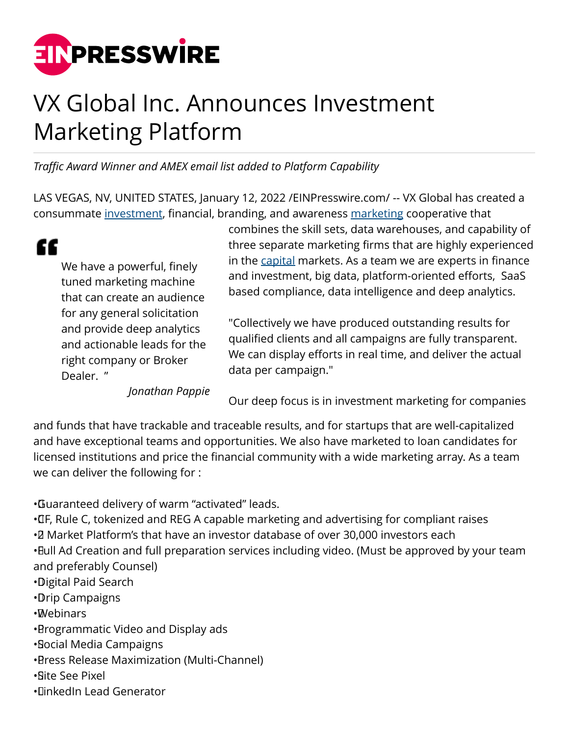

## VX Global Inc. Announces Investment Marketing Platform

*Traffic Award Winner and AMEX email list added to Platform Capability*

LAS VEGAS, NV, UNITED STATES, January 12, 2022 [/EINPresswire.com](http://www.einpresswire.com)/ -- VX Global has created a consummate [investment](http://www.vxglobal.com), financial, branding, and awareness [marketing](http://www.vxglobal.com) cooperative that

## " We have a powerful, finely tuned marketing machine that can create an audience for any general solicitation and provide deep analytics and actionable leads for the right company or Broker Dealer. "

*Jonathan Pappie*

combines the skill sets, data warehouses, and capability of three separate marketing firms that are highly experienced in the [capital](http://www.vxglobal.com) markets. As a team we are experts in finance and investment, big data, platform-oriented efforts, SaaS based compliance, data intelligence and deep analytics.

"Collectively we have produced outstanding results for qualified clients and all campaigns are fully transparent. We can display efforts in real time, and deliver the actual data per campaign."

Our deep focus is in investment marketing for companies

and funds that have trackable and traceable results, and for startups that are well-capitalized and have exceptional teams and opportunities. We also have marketed to loan candidates for licensed institutions and price the financial community with a wide marketing array. As a team we can deliver the following for :

• Guaranteed delivery of warm "activated" leads.

• CF, Rule C, tokenized and REG A capable marketing and advertising for compliant raises • 2 Market Platform's that have an investor database of over 30,000 investors each • Bull Ad Creation and full preparation services including video. (Must be approved by your team and preferably Counsel)

• Digital Paid Search

• Drip Campaigns

• Webinars

• Programmatic Video and Display ads

• Social Media Campaigns

• Press Release Maximization (Multi-Channel)

• Site See Pixel

• LinkedIn Lead Generator